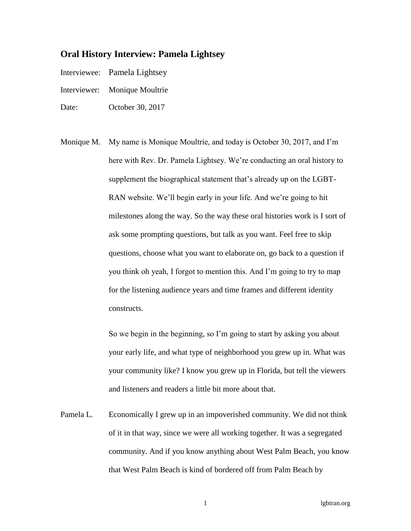## **Oral History Interview: Pamela Lightsey**

Interviewee: Pamela Lightsey

- Interviewer: Monique Moultrie
- Date: October 30, 2017
- Monique M. My name is Monique Moultrie, and today is October 30, 2017, and I'm here with Rev. Dr. Pamela Lightsey. We're conducting an oral history to supplement the biographical statement that's already up on the LGBT-RAN website. We'll begin early in your life. And we're going to hit milestones along the way. So the way these oral histories work is I sort of ask some prompting questions, but talk as you want. Feel free to skip questions, choose what you want to elaborate on, go back to a question if you think oh yeah, I forgot to mention this. And I'm going to try to map for the listening audience years and time frames and different identity constructs.

So we begin in the beginning, so I'm going to start by asking you about your early life, and what type of neighborhood you grew up in. What was your community like? I know you grew up in Florida, but tell the viewers and listeners and readers a little bit more about that.

Pamela L. Economically I grew up in an impoverished community. We did not think of it in that way, since we were all working together. It was a segregated community. And if you know anything about West Palm Beach, you know that West Palm Beach is kind of bordered off from Palm Beach by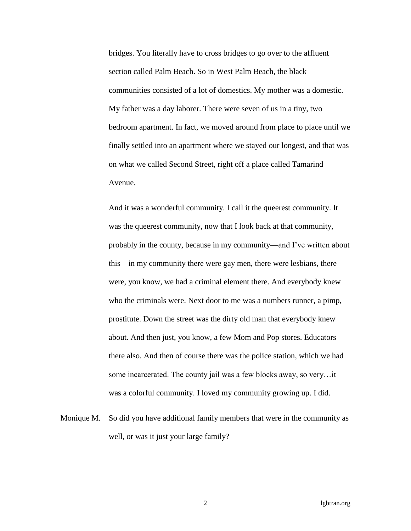bridges. You literally have to cross bridges to go over to the affluent section called Palm Beach. So in West Palm Beach, the black communities consisted of a lot of domestics. My mother was a domestic. My father was a day laborer. There were seven of us in a tiny, two bedroom apartment. In fact, we moved around from place to place until we finally settled into an apartment where we stayed our longest, and that was on what we called Second Street, right off a place called Tamarind Avenue.

And it was a wonderful community. I call it the queerest community. It was the queerest community, now that I look back at that community, probably in the county, because in my community—and I've written about this—in my community there were gay men, there were lesbians, there were, you know, we had a criminal element there. And everybody knew who the criminals were. Next door to me was a numbers runner, a pimp, prostitute. Down the street was the dirty old man that everybody knew about. And then just, you know, a few Mom and Pop stores. Educators there also. And then of course there was the police station, which we had some incarcerated. The county jail was a few blocks away, so very…it was a colorful community. I loved my community growing up. I did.

Monique M. So did you have additional family members that were in the community as well, or was it just your large family?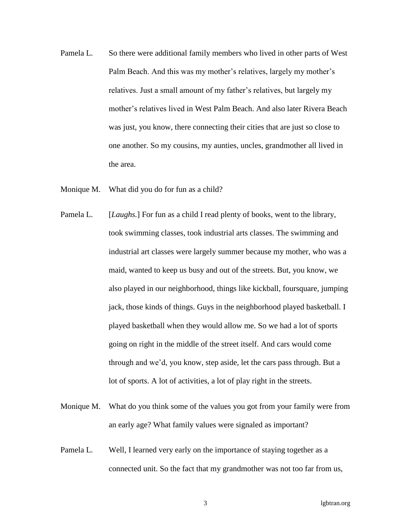- Pamela L. So there were additional family members who lived in other parts of West Palm Beach. And this was my mother's relatives, largely my mother's relatives. Just a small amount of my father's relatives, but largely my mother's relatives lived in West Palm Beach. And also later Rivera Beach was just, you know, there connecting their cities that are just so close to one another. So my cousins, my aunties, uncles, grandmother all lived in the area.
- Monique M. What did you do for fun as a child?
- Pamela L. [*Laughs*.] For fun as a child I read plenty of books, went to the library, took swimming classes, took industrial arts classes. The swimming and industrial art classes were largely summer because my mother, who was a maid, wanted to keep us busy and out of the streets. But, you know, we also played in our neighborhood, things like kickball, foursquare, jumping jack, those kinds of things. Guys in the neighborhood played basketball. I played basketball when they would allow me. So we had a lot of sports going on right in the middle of the street itself. And cars would come through and we'd, you know, step aside, let the cars pass through. But a lot of sports. A lot of activities, a lot of play right in the streets.
- Monique M. What do you think some of the values you got from your family were from an early age? What family values were signaled as important?
- Pamela L. Well, I learned very early on the importance of staying together as a connected unit. So the fact that my grandmother was not too far from us,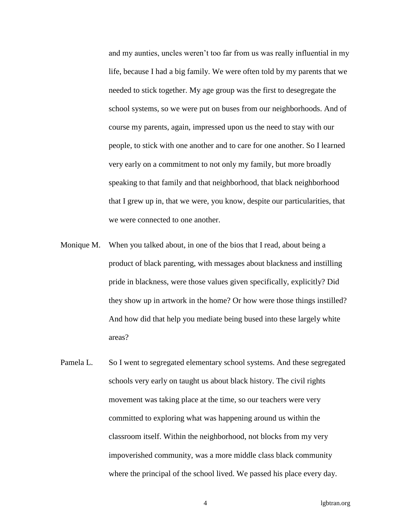and my aunties, uncles weren't too far from us was really influential in my life, because I had a big family. We were often told by my parents that we needed to stick together. My age group was the first to desegregate the school systems, so we were put on buses from our neighborhoods. And of course my parents, again, impressed upon us the need to stay with our people, to stick with one another and to care for one another. So I learned very early on a commitment to not only my family, but more broadly speaking to that family and that neighborhood, that black neighborhood that I grew up in, that we were, you know, despite our particularities, that we were connected to one another.

- Monique M. When you talked about, in one of the bios that I read, about being a product of black parenting, with messages about blackness and instilling pride in blackness, were those values given specifically, explicitly? Did they show up in artwork in the home? Or how were those things instilled? And how did that help you mediate being bused into these largely white areas?
- Pamela L. So I went to segregated elementary school systems. And these segregated schools very early on taught us about black history. The civil rights movement was taking place at the time, so our teachers were very committed to exploring what was happening around us within the classroom itself. Within the neighborhood, not blocks from my very impoverished community, was a more middle class black community where the principal of the school lived. We passed his place every day.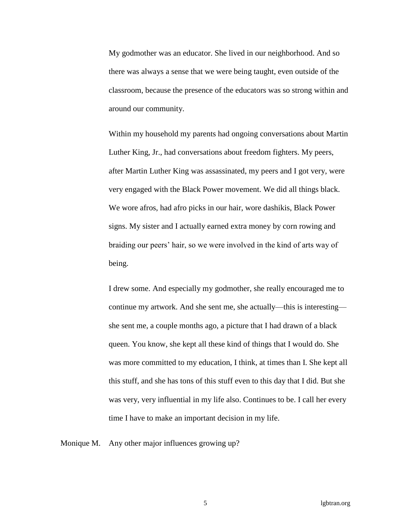My godmother was an educator. She lived in our neighborhood. And so there was always a sense that we were being taught, even outside of the classroom, because the presence of the educators was so strong within and around our community.

Within my household my parents had ongoing conversations about Martin Luther King, Jr., had conversations about freedom fighters. My peers, after Martin Luther King was assassinated, my peers and I got very, were very engaged with the Black Power movement. We did all things black. We wore afros, had afro picks in our hair, wore dashikis, Black Power signs. My sister and I actually earned extra money by corn rowing and braiding our peers' hair, so we were involved in the kind of arts way of being.

I drew some. And especially my godmother, she really encouraged me to continue my artwork. And she sent me, she actually—this is interesting she sent me, a couple months ago, a picture that I had drawn of a black queen. You know, she kept all these kind of things that I would do. She was more committed to my education, I think, at times than I. She kept all this stuff, and she has tons of this stuff even to this day that I did. But she was very, very influential in my life also. Continues to be. I call her every time I have to make an important decision in my life.

Monique M. Any other major influences growing up?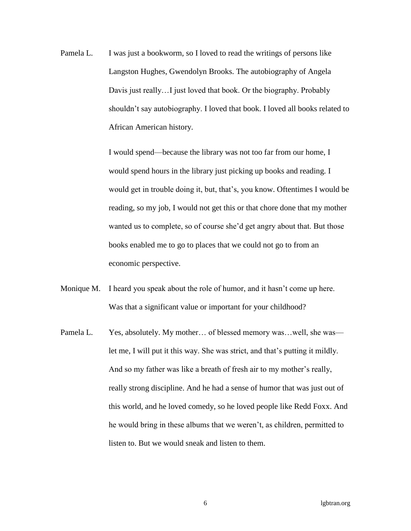Pamela L. I was just a bookworm, so I loved to read the writings of persons like Langston Hughes, Gwendolyn Brooks. The autobiography of Angela Davis just really…I just loved that book. Or the biography. Probably shouldn't say autobiography. I loved that book. I loved all books related to African American history.

> I would spend—because the library was not too far from our home, I would spend hours in the library just picking up books and reading. I would get in trouble doing it, but, that's, you know. Oftentimes I would be reading, so my job, I would not get this or that chore done that my mother wanted us to complete, so of course she'd get angry about that. But those books enabled me to go to places that we could not go to from an economic perspective.

- Monique M. I heard you speak about the role of humor, and it hasn't come up here. Was that a significant value or important for your childhood?
- Pamela L. Yes, absolutely. My mother... of blessed memory was...well, she was let me, I will put it this way. She was strict, and that's putting it mildly. And so my father was like a breath of fresh air to my mother's really, really strong discipline. And he had a sense of humor that was just out of this world, and he loved comedy, so he loved people like Redd Foxx. And he would bring in these albums that we weren't, as children, permitted to listen to. But we would sneak and listen to them.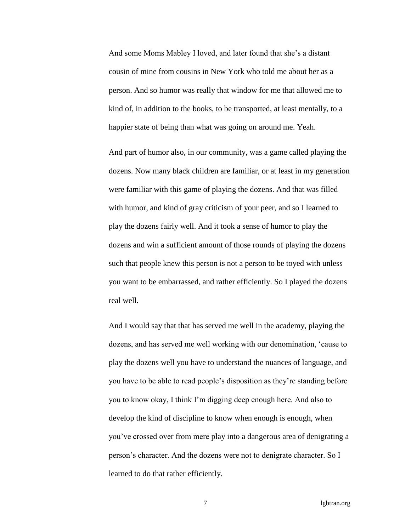And some Moms Mabley I loved, and later found that she's a distant cousin of mine from cousins in New York who told me about her as a person. And so humor was really that window for me that allowed me to kind of, in addition to the books, to be transported, at least mentally, to a happier state of being than what was going on around me. Yeah.

And part of humor also, in our community, was a game called playing the dozens. Now many black children are familiar, or at least in my generation were familiar with this game of playing the dozens. And that was filled with humor, and kind of gray criticism of your peer, and so I learned to play the dozens fairly well. And it took a sense of humor to play the dozens and win a sufficient amount of those rounds of playing the dozens such that people knew this person is not a person to be toyed with unless you want to be embarrassed, and rather efficiently. So I played the dozens real well.

And I would say that that has served me well in the academy, playing the dozens, and has served me well working with our denomination, 'cause to play the dozens well you have to understand the nuances of language, and you have to be able to read people's disposition as they're standing before you to know okay, I think I'm digging deep enough here. And also to develop the kind of discipline to know when enough is enough, when you've crossed over from mere play into a dangerous area of denigrating a person's character. And the dozens were not to denigrate character. So I learned to do that rather efficiently.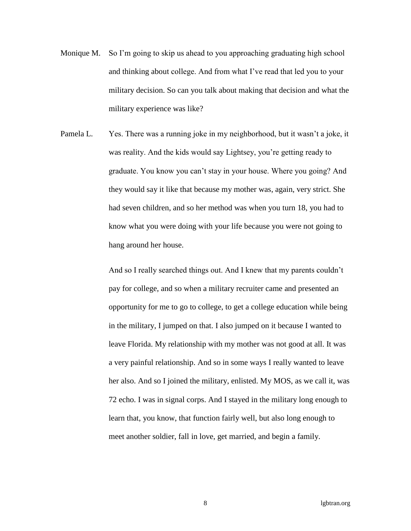- Monique M. So I'm going to skip us ahead to you approaching graduating high school and thinking about college. And from what I've read that led you to your military decision. So can you talk about making that decision and what the military experience was like?
- Pamela L. Yes. There was a running joke in my neighborhood, but it wasn't a joke, it was reality. And the kids would say Lightsey, you're getting ready to graduate. You know you can't stay in your house. Where you going? And they would say it like that because my mother was, again, very strict. She had seven children, and so her method was when you turn 18, you had to know what you were doing with your life because you were not going to hang around her house.

And so I really searched things out. And I knew that my parents couldn't pay for college, and so when a military recruiter came and presented an opportunity for me to go to college, to get a college education while being in the military, I jumped on that. I also jumped on it because I wanted to leave Florida. My relationship with my mother was not good at all. It was a very painful relationship. And so in some ways I really wanted to leave her also. And so I joined the military, enlisted. My MOS, as we call it, was 72 echo. I was in signal corps. And I stayed in the military long enough to learn that, you know, that function fairly well, but also long enough to meet another soldier, fall in love, get married, and begin a family.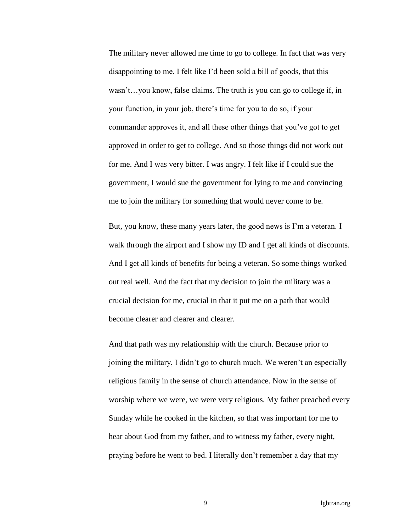The military never allowed me time to go to college. In fact that was very disappointing to me. I felt like I'd been sold a bill of goods, that this wasn't…you know, false claims. The truth is you can go to college if, in your function, in your job, there's time for you to do so, if your commander approves it, and all these other things that you've got to get approved in order to get to college. And so those things did not work out for me. And I was very bitter. I was angry. I felt like if I could sue the government, I would sue the government for lying to me and convincing me to join the military for something that would never come to be.

But, you know, these many years later, the good news is I'm a veteran. I walk through the airport and I show my ID and I get all kinds of discounts. And I get all kinds of benefits for being a veteran. So some things worked out real well. And the fact that my decision to join the military was a crucial decision for me, crucial in that it put me on a path that would become clearer and clearer and clearer.

And that path was my relationship with the church. Because prior to joining the military, I didn't go to church much. We weren't an especially religious family in the sense of church attendance. Now in the sense of worship where we were, we were very religious. My father preached every Sunday while he cooked in the kitchen, so that was important for me to hear about God from my father, and to witness my father, every night, praying before he went to bed. I literally don't remember a day that my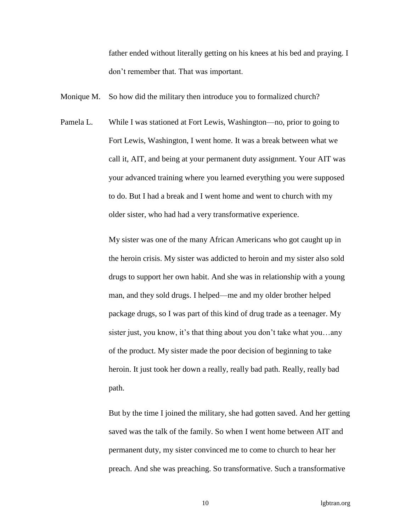father ended without literally getting on his knees at his bed and praying. I don't remember that. That was important.

Monique M. So how did the military then introduce you to formalized church?

Pamela L. While I was stationed at Fort Lewis, Washington—no, prior to going to Fort Lewis, Washington, I went home. It was a break between what we call it, AIT, and being at your permanent duty assignment. Your AIT was your advanced training where you learned everything you were supposed to do. But I had a break and I went home and went to church with my older sister, who had had a very transformative experience.

> My sister was one of the many African Americans who got caught up in the heroin crisis. My sister was addicted to heroin and my sister also sold drugs to support her own habit. And she was in relationship with a young man, and they sold drugs. I helped—me and my older brother helped package drugs, so I was part of this kind of drug trade as a teenager. My sister just, you know, it's that thing about you don't take what you…any of the product. My sister made the poor decision of beginning to take heroin. It just took her down a really, really bad path. Really, really bad path.

But by the time I joined the military, she had gotten saved. And her getting saved was the talk of the family. So when I went home between AIT and permanent duty, my sister convinced me to come to church to hear her preach. And she was preaching. So transformative. Such a transformative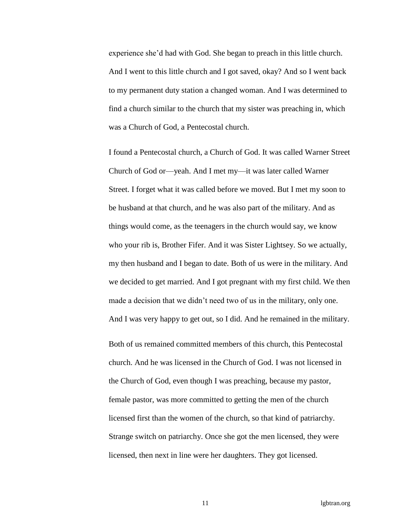experience she'd had with God. She began to preach in this little church. And I went to this little church and I got saved, okay? And so I went back to my permanent duty station a changed woman. And I was determined to find a church similar to the church that my sister was preaching in, which was a Church of God, a Pentecostal church.

I found a Pentecostal church, a Church of God. It was called Warner Street Church of God or—yeah. And I met my—it was later called Warner Street. I forget what it was called before we moved. But I met my soon to be husband at that church, and he was also part of the military. And as things would come, as the teenagers in the church would say, we know who your rib is, Brother Fifer. And it was Sister Lightsey. So we actually, my then husband and I began to date. Both of us were in the military. And we decided to get married. And I got pregnant with my first child. We then made a decision that we didn't need two of us in the military, only one. And I was very happy to get out, so I did. And he remained in the military.

Both of us remained committed members of this church, this Pentecostal church. And he was licensed in the Church of God. I was not licensed in the Church of God, even though I was preaching, because my pastor, female pastor, was more committed to getting the men of the church licensed first than the women of the church, so that kind of patriarchy. Strange switch on patriarchy. Once she got the men licensed, they were licensed, then next in line were her daughters. They got licensed.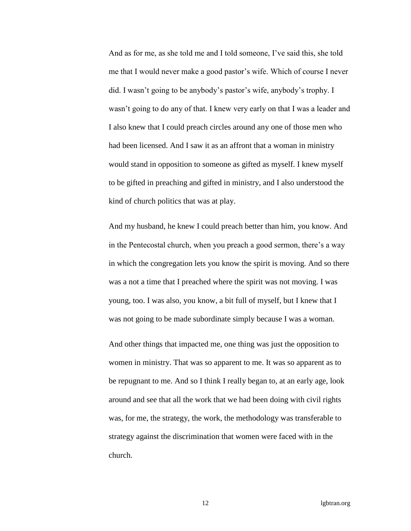And as for me, as she told me and I told someone, I've said this, she told me that I would never make a good pastor's wife. Which of course I never did. I wasn't going to be anybody's pastor's wife, anybody's trophy. I wasn't going to do any of that. I knew very early on that I was a leader and I also knew that I could preach circles around any one of those men who had been licensed. And I saw it as an affront that a woman in ministry would stand in opposition to someone as gifted as myself. I knew myself to be gifted in preaching and gifted in ministry, and I also understood the kind of church politics that was at play.

And my husband, he knew I could preach better than him, you know. And in the Pentecostal church, when you preach a good sermon, there's a way in which the congregation lets you know the spirit is moving. And so there was a not a time that I preached where the spirit was not moving. I was young, too. I was also, you know, a bit full of myself, but I knew that I was not going to be made subordinate simply because I was a woman.

And other things that impacted me, one thing was just the opposition to women in ministry. That was so apparent to me. It was so apparent as to be repugnant to me. And so I think I really began to, at an early age, look around and see that all the work that we had been doing with civil rights was, for me, the strategy, the work, the methodology was transferable to strategy against the discrimination that women were faced with in the church.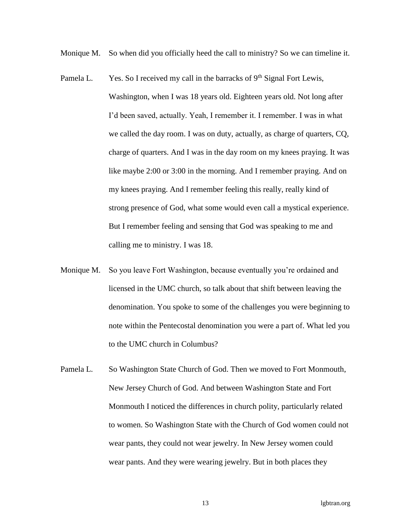Monique M. So when did you officially heed the call to ministry? So we can timeline it.

- Pamela L. Yes. So I received my call in the barracks of  $9<sup>th</sup>$  Signal Fort Lewis, Washington, when I was 18 years old. Eighteen years old. Not long after I'd been saved, actually. Yeah, I remember it. I remember. I was in what we called the day room. I was on duty, actually, as charge of quarters, CQ, charge of quarters. And I was in the day room on my knees praying. It was like maybe 2:00 or 3:00 in the morning. And I remember praying. And on my knees praying. And I remember feeling this really, really kind of strong presence of God, what some would even call a mystical experience. But I remember feeling and sensing that God was speaking to me and calling me to ministry. I was 18.
- Monique M. So you leave Fort Washington, because eventually you're ordained and licensed in the UMC church, so talk about that shift between leaving the denomination. You spoke to some of the challenges you were beginning to note within the Pentecostal denomination you were a part of. What led you to the UMC church in Columbus?
- Pamela L. So Washington State Church of God. Then we moved to Fort Monmouth, New Jersey Church of God. And between Washington State and Fort Monmouth I noticed the differences in church polity, particularly related to women. So Washington State with the Church of God women could not wear pants, they could not wear jewelry. In New Jersey women could wear pants. And they were wearing jewelry. But in both places they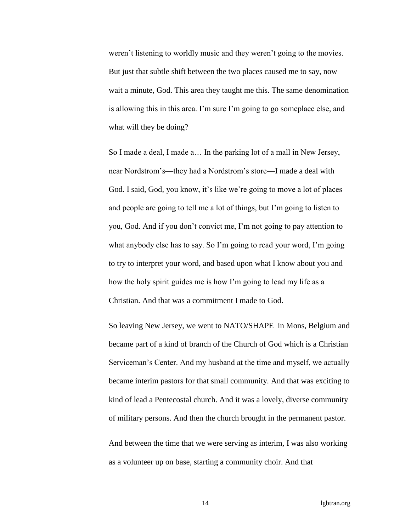weren't listening to worldly music and they weren't going to the movies. But just that subtle shift between the two places caused me to say, now wait a minute, God. This area they taught me this. The same denomination is allowing this in this area. I'm sure I'm going to go someplace else, and what will they be doing?

So I made a deal, I made a… In the parking lot of a mall in New Jersey, near Nordstrom's—they had a Nordstrom's store—I made a deal with God. I said, God, you know, it's like we're going to move a lot of places and people are going to tell me a lot of things, but I'm going to listen to you, God. And if you don't convict me, I'm not going to pay attention to what anybody else has to say. So I'm going to read your word, I'm going to try to interpret your word, and based upon what I know about you and how the holy spirit guides me is how I'm going to lead my life as a Christian. And that was a commitment I made to God.

So leaving New Jersey, we went to NATO/SHAPE in Mons, Belgium and became part of a kind of branch of the Church of God which is a Christian Serviceman's Center. And my husband at the time and myself, we actually became interim pastors for that small community. And that was exciting to kind of lead a Pentecostal church. And it was a lovely, diverse community of military persons. And then the church brought in the permanent pastor.

And between the time that we were serving as interim, I was also working as a volunteer up on base, starting a community choir. And that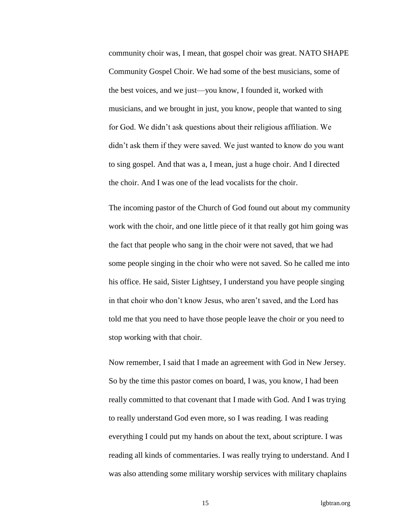community choir was, I mean, that gospel choir was great. NATO SHAPE Community Gospel Choir. We had some of the best musicians, some of the best voices, and we just—you know, I founded it, worked with musicians, and we brought in just, you know, people that wanted to sing for God. We didn't ask questions about their religious affiliation. We didn't ask them if they were saved. We just wanted to know do you want to sing gospel. And that was a, I mean, just a huge choir. And I directed the choir. And I was one of the lead vocalists for the choir.

The incoming pastor of the Church of God found out about my community work with the choir, and one little piece of it that really got him going was the fact that people who sang in the choir were not saved, that we had some people singing in the choir who were not saved. So he called me into his office. He said, Sister Lightsey, I understand you have people singing in that choir who don't know Jesus, who aren't saved, and the Lord has told me that you need to have those people leave the choir or you need to stop working with that choir.

Now remember, I said that I made an agreement with God in New Jersey. So by the time this pastor comes on board, I was, you know, I had been really committed to that covenant that I made with God. And I was trying to really understand God even more, so I was reading. I was reading everything I could put my hands on about the text, about scripture. I was reading all kinds of commentaries. I was really trying to understand. And I was also attending some military worship services with military chaplains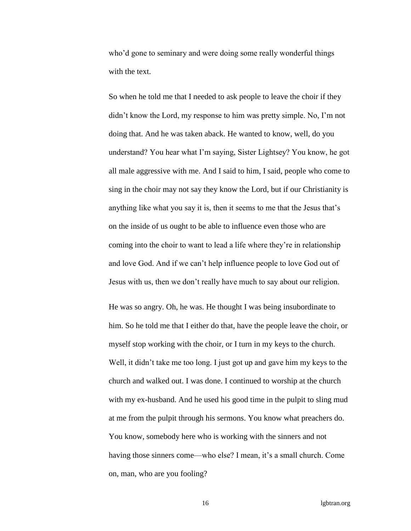who'd gone to seminary and were doing some really wonderful things with the text.

So when he told me that I needed to ask people to leave the choir if they didn't know the Lord, my response to him was pretty simple. No, I'm not doing that. And he was taken aback. He wanted to know, well, do you understand? You hear what I'm saying, Sister Lightsey? You know, he got all male aggressive with me. And I said to him, I said, people who come to sing in the choir may not say they know the Lord, but if our Christianity is anything like what you say it is, then it seems to me that the Jesus that's on the inside of us ought to be able to influence even those who are coming into the choir to want to lead a life where they're in relationship and love God. And if we can't help influence people to love God out of Jesus with us, then we don't really have much to say about our religion.

He was so angry. Oh, he was. He thought I was being insubordinate to him. So he told me that I either do that, have the people leave the choir, or myself stop working with the choir, or I turn in my keys to the church. Well, it didn't take me too long. I just got up and gave him my keys to the church and walked out. I was done. I continued to worship at the church with my ex-husband. And he used his good time in the pulpit to sling mud at me from the pulpit through his sermons. You know what preachers do. You know, somebody here who is working with the sinners and not having those sinners come—who else? I mean, it's a small church. Come on, man, who are you fooling?

16 lgbtran.org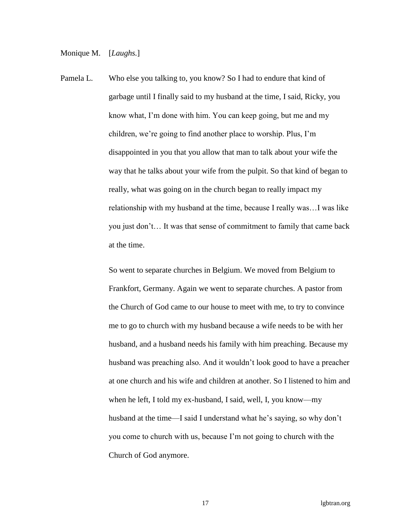Monique M. [*Laughs.*]

Pamela L. Who else you talking to, you know? So I had to endure that kind of garbage until I finally said to my husband at the time, I said, Ricky, you know what, I'm done with him. You can keep going, but me and my children, we're going to find another place to worship. Plus, I'm disappointed in you that you allow that man to talk about your wife the way that he talks about your wife from the pulpit. So that kind of began to really, what was going on in the church began to really impact my relationship with my husband at the time, because I really was…I was like you just don't… It was that sense of commitment to family that came back at the time.

> So went to separate churches in Belgium. We moved from Belgium to Frankfort, Germany. Again we went to separate churches. A pastor from the Church of God came to our house to meet with me, to try to convince me to go to church with my husband because a wife needs to be with her husband, and a husband needs his family with him preaching. Because my husband was preaching also. And it wouldn't look good to have a preacher at one church and his wife and children at another. So I listened to him and when he left, I told my ex-husband, I said, well, I, you know—my husband at the time—I said I understand what he's saying, so why don't you come to church with us, because I'm not going to church with the Church of God anymore.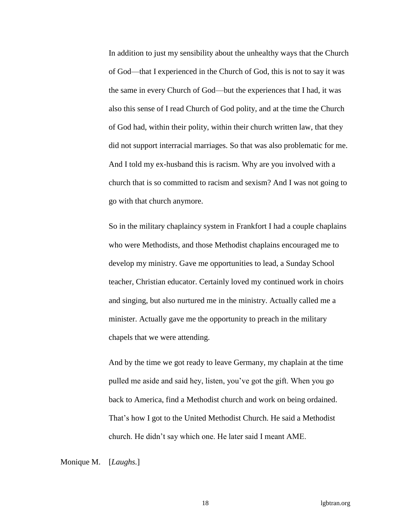In addition to just my sensibility about the unhealthy ways that the Church of God—that I experienced in the Church of God, this is not to say it was the same in every Church of God—but the experiences that I had, it was also this sense of I read Church of God polity, and at the time the Church of God had, within their polity, within their church written law, that they did not support interracial marriages. So that was also problematic for me. And I told my ex-husband this is racism. Why are you involved with a church that is so committed to racism and sexism? And I was not going to go with that church anymore.

So in the military chaplaincy system in Frankfort I had a couple chaplains who were Methodists, and those Methodist chaplains encouraged me to develop my ministry. Gave me opportunities to lead, a Sunday School teacher, Christian educator. Certainly loved my continued work in choirs and singing, but also nurtured me in the ministry. Actually called me a minister. Actually gave me the opportunity to preach in the military chapels that we were attending.

And by the time we got ready to leave Germany, my chaplain at the time pulled me aside and said hey, listen, you've got the gift. When you go back to America, find a Methodist church and work on being ordained. That's how I got to the United Methodist Church. He said a Methodist church. He didn't say which one. He later said I meant AME.

Monique M. [*Laughs.*]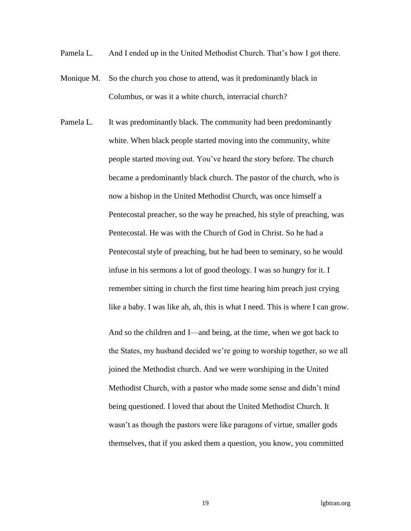- Pamela L. And I ended up in the United Methodist Church. That's how I got there.
- Monique M. So the church you chose to attend, was it predominantly black in Columbus, or was it a white church, interracial church?
- Pamela L. It was predominantly black. The community had been predominantly white. When black people started moving into the community, white people started moving out. You've heard the story before. The church became a predominantly black church. The pastor of the church, who is now a bishop in the United Methodist Church, was once himself a Pentecostal preacher, so the way he preached, his style of preaching, was Pentecostal. He was with the Church of God in Christ. So he had a Pentecostal style of preaching, but he had been to seminary, so he would infuse in his sermons a lot of good theology. I was so hungry for it. I remember sitting in church the first time hearing him preach just crying like a baby. I was like ah, ah, this is what I need. This is where I can grow.

And so the children and I—and being, at the time, when we got back to the States, my husband decided we're going to worship together, so we all joined the Methodist church. And we were worshiping in the United Methodist Church, with a pastor who made some sense and didn't mind being questioned. I loved that about the United Methodist Church. It wasn't as though the pastors were like paragons of virtue, smaller gods themselves, that if you asked them a question, you know, you committed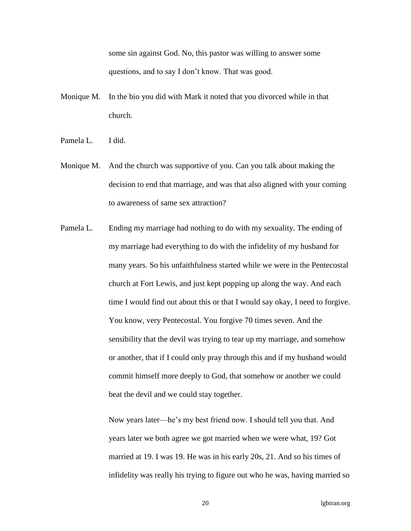some sin against God. No, this pastor was willing to answer some questions, and to say I don't know. That was good.

- Monique M. In the bio you did with Mark it noted that you divorced while in that church.
- Pamela L. I did.
- Monique M. And the church was supportive of you. Can you talk about making the decision to end that marriage, and was that also aligned with your coming to awareness of same sex attraction?
- Pamela L. Ending my marriage had nothing to do with my sexuality. The ending of my marriage had everything to do with the infidelity of my husband for many years. So his unfaithfulness started while we were in the Pentecostal church at Fort Lewis, and just kept popping up along the way. And each time I would find out about this or that I would say okay, I need to forgive. You know, very Pentecostal. You forgive 70 times seven. And the sensibility that the devil was trying to tear up my marriage, and somehow or another, that if I could only pray through this and if my husband would commit himself more deeply to God, that somehow or another we could beat the devil and we could stay together.

Now years later—he's my best friend now. I should tell you that. And years later we both agree we got married when we were what, 19? Got married at 19. I was 19. He was in his early 20s, 21. And so his times of infidelity was really his trying to figure out who he was, having married so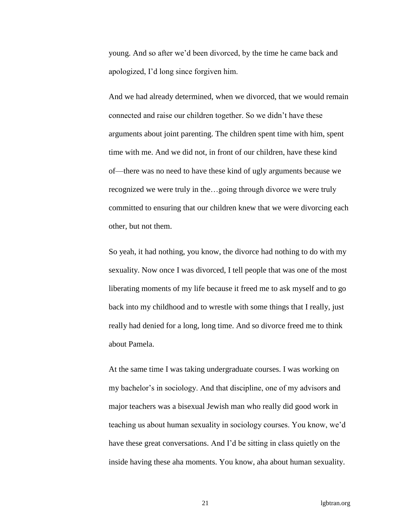young. And so after we'd been divorced, by the time he came back and apologized, I'd long since forgiven him.

And we had already determined, when we divorced, that we would remain connected and raise our children together. So we didn't have these arguments about joint parenting. The children spent time with him, spent time with me. And we did not, in front of our children, have these kind of—there was no need to have these kind of ugly arguments because we recognized we were truly in the…going through divorce we were truly committed to ensuring that our children knew that we were divorcing each other, but not them.

So yeah, it had nothing, you know, the divorce had nothing to do with my sexuality. Now once I was divorced, I tell people that was one of the most liberating moments of my life because it freed me to ask myself and to go back into my childhood and to wrestle with some things that I really, just really had denied for a long, long time. And so divorce freed me to think about Pamela.

At the same time I was taking undergraduate courses. I was working on my bachelor's in sociology. And that discipline, one of my advisors and major teachers was a bisexual Jewish man who really did good work in teaching us about human sexuality in sociology courses. You know, we'd have these great conversations. And I'd be sitting in class quietly on the inside having these aha moments. You know, aha about human sexuality.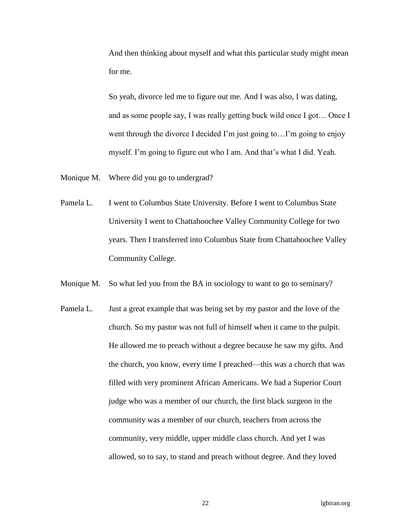And then thinking about myself and what this particular study might mean for me.

So yeah, divorce led me to figure out me. And I was also, I was dating, and as some people say, I was really getting buck wild once I got… Once I went through the divorce I decided I'm just going to...I'm going to enjoy myself. I'm going to figure out who I am. And that's what I did. Yeah.

- Monique M. Where did you go to undergrad?
- Pamela L. I went to Columbus State University. Before I went to Columbus State University I went to Chattahoochee Valley Community College for two years. Then I transferred into Columbus State from Chattahoochee Valley Community College.
- Monique M. So what led you from the BA in sociology to want to go to seminary?
- Pamela L. Just a great example that was being set by my pastor and the love of the church. So my pastor was not full of himself when it came to the pulpit. He allowed me to preach without a degree because he saw my gifts. And the church, you know, every time I preached—this was a church that was filled with very prominent African Americans. We had a Superior Court judge who was a member of our church, the first black surgeon in the community was a member of our church, teachers from across the community, very middle, upper middle class church. And yet I was allowed, so to say, to stand and preach without degree. And they loved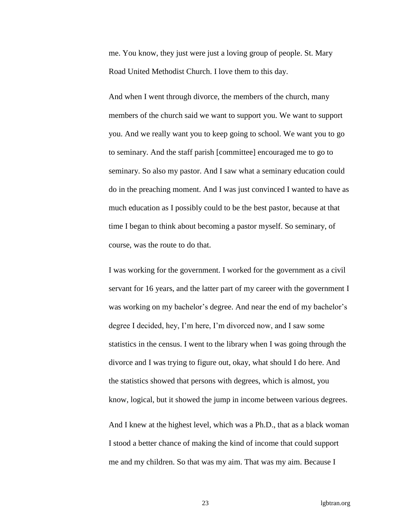me. You know, they just were just a loving group of people. St. Mary Road United Methodist Church. I love them to this day.

And when I went through divorce, the members of the church, many members of the church said we want to support you. We want to support you. And we really want you to keep going to school. We want you to go to seminary. And the staff parish [committee] encouraged me to go to seminary. So also my pastor. And I saw what a seminary education could do in the preaching moment. And I was just convinced I wanted to have as much education as I possibly could to be the best pastor, because at that time I began to think about becoming a pastor myself. So seminary, of course, was the route to do that.

I was working for the government. I worked for the government as a civil servant for 16 years, and the latter part of my career with the government I was working on my bachelor's degree. And near the end of my bachelor's degree I decided, hey, I'm here, I'm divorced now, and I saw some statistics in the census. I went to the library when I was going through the divorce and I was trying to figure out, okay, what should I do here. And the statistics showed that persons with degrees, which is almost, you know, logical, but it showed the jump in income between various degrees.

And I knew at the highest level, which was a Ph.D., that as a black woman I stood a better chance of making the kind of income that could support me and my children. So that was my aim. That was my aim. Because I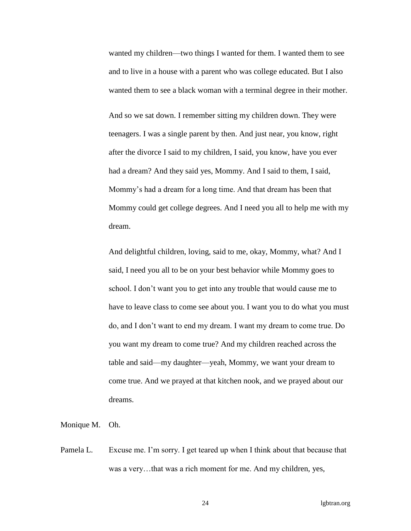wanted my children—two things I wanted for them. I wanted them to see and to live in a house with a parent who was college educated. But I also wanted them to see a black woman with a terminal degree in their mother.

And so we sat down. I remember sitting my children down. They were teenagers. I was a single parent by then. And just near, you know, right after the divorce I said to my children, I said, you know, have you ever had a dream? And they said yes, Mommy. And I said to them, I said, Mommy's had a dream for a long time. And that dream has been that Mommy could get college degrees. And I need you all to help me with my dream.

And delightful children, loving, said to me, okay, Mommy, what? And I said, I need you all to be on your best behavior while Mommy goes to school. I don't want you to get into any trouble that would cause me to have to leave class to come see about you. I want you to do what you must do, and I don't want to end my dream. I want my dream to come true. Do you want my dream to come true? And my children reached across the table and said—my daughter—yeah, Mommy, we want your dream to come true. And we prayed at that kitchen nook, and we prayed about our dreams.

Monique M. Oh.

Pamela L. Excuse me. I'm sorry. I get teared up when I think about that because that was a very…that was a rich moment for me. And my children, yes,

24 lgbtran.org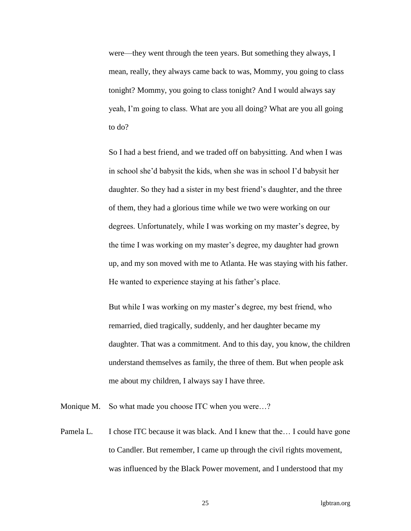were—they went through the teen years. But something they always, I mean, really, they always came back to was, Mommy, you going to class tonight? Mommy, you going to class tonight? And I would always say yeah, I'm going to class. What are you all doing? What are you all going to do?

So I had a best friend, and we traded off on babysitting. And when I was in school she'd babysit the kids, when she was in school I'd babysit her daughter. So they had a sister in my best friend's daughter, and the three of them, they had a glorious time while we two were working on our degrees. Unfortunately, while I was working on my master's degree, by the time I was working on my master's degree, my daughter had grown up, and my son moved with me to Atlanta. He was staying with his father. He wanted to experience staying at his father's place.

But while I was working on my master's degree, my best friend, who remarried, died tragically, suddenly, and her daughter became my daughter. That was a commitment. And to this day, you know, the children understand themselves as family, the three of them. But when people ask me about my children, I always say I have three.

Monique M. So what made you choose ITC when you were...?

Pamela L. I chose ITC because it was black. And I knew that the... I could have gone to Candler. But remember, I came up through the civil rights movement, was influenced by the Black Power movement, and I understood that my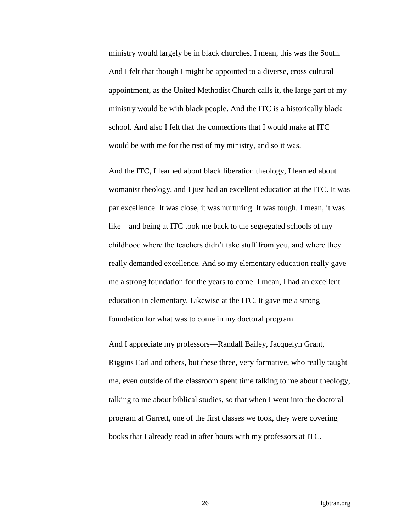ministry would largely be in black churches. I mean, this was the South. And I felt that though I might be appointed to a diverse, cross cultural appointment, as the United Methodist Church calls it, the large part of my ministry would be with black people. And the ITC is a historically black school. And also I felt that the connections that I would make at ITC would be with me for the rest of my ministry, and so it was.

And the ITC, I learned about black liberation theology, I learned about womanist theology, and I just had an excellent education at the ITC. It was par excellence. It was close, it was nurturing. It was tough. I mean, it was like—and being at ITC took me back to the segregated schools of my childhood where the teachers didn't take stuff from you, and where they really demanded excellence. And so my elementary education really gave me a strong foundation for the years to come. I mean, I had an excellent education in elementary. Likewise at the ITC. It gave me a strong foundation for what was to come in my doctoral program.

And I appreciate my professors—Randall Bailey, Jacquelyn Grant, Riggins Earl and others, but these three, very formative, who really taught me, even outside of the classroom spent time talking to me about theology, talking to me about biblical studies, so that when I went into the doctoral program at Garrett, one of the first classes we took, they were covering books that I already read in after hours with my professors at ITC.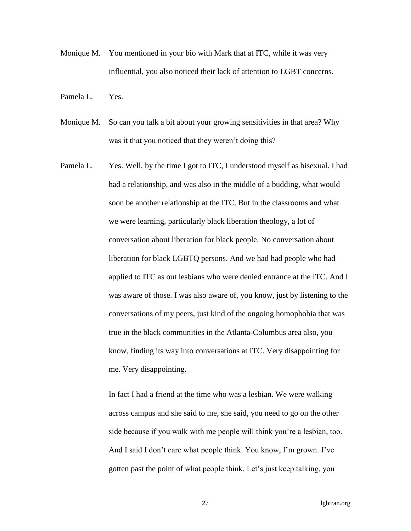- Monique M. You mentioned in your bio with Mark that at ITC, while it was very influential, you also noticed their lack of attention to LGBT concerns.
- Pamela L. Yes.
- Monique M. So can you talk a bit about your growing sensitivities in that area? Why was it that you noticed that they weren't doing this?
- Pamela L. Yes. Well, by the time I got to ITC, I understood myself as bisexual. I had had a relationship, and was also in the middle of a budding, what would soon be another relationship at the ITC. But in the classrooms and what we were learning, particularly black liberation theology, a lot of conversation about liberation for black people. No conversation about liberation for black LGBTQ persons. And we had had people who had applied to ITC as out lesbians who were denied entrance at the ITC. And I was aware of those. I was also aware of, you know, just by listening to the conversations of my peers, just kind of the ongoing homophobia that was true in the black communities in the Atlanta-Columbus area also, you know, finding its way into conversations at ITC. Very disappointing for me. Very disappointing.

In fact I had a friend at the time who was a lesbian. We were walking across campus and she said to me, she said, you need to go on the other side because if you walk with me people will think you're a lesbian, too. And I said I don't care what people think. You know, I'm grown. I've gotten past the point of what people think. Let's just keep talking, you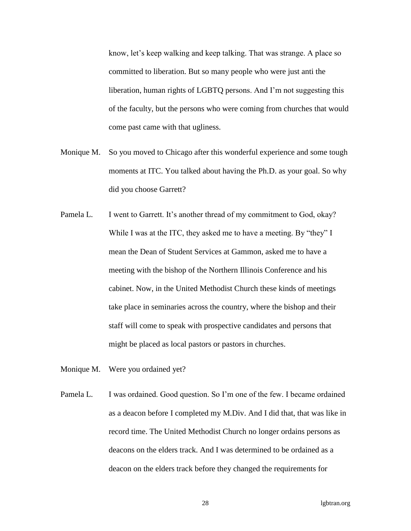know, let's keep walking and keep talking. That was strange. A place so committed to liberation. But so many people who were just anti the liberation, human rights of LGBTQ persons. And I'm not suggesting this of the faculty, but the persons who were coming from churches that would come past came with that ugliness.

- Monique M. So you moved to Chicago after this wonderful experience and some tough moments at ITC. You talked about having the Ph.D. as your goal. So why did you choose Garrett?
- Pamela L. I went to Garrett. It's another thread of my commitment to God, okay? While I was at the ITC, they asked me to have a meeting. By "they" I mean the Dean of Student Services at Gammon, asked me to have a meeting with the bishop of the Northern Illinois Conference and his cabinet. Now, in the United Methodist Church these kinds of meetings take place in seminaries across the country, where the bishop and their staff will come to speak with prospective candidates and persons that might be placed as local pastors or pastors in churches.
- Monique M. Were you ordained yet?
- Pamela L. I was ordained. Good question. So I'm one of the few. I became ordained as a deacon before I completed my M.Div. And I did that, that was like in record time. The United Methodist Church no longer ordains persons as deacons on the elders track. And I was determined to be ordained as a deacon on the elders track before they changed the requirements for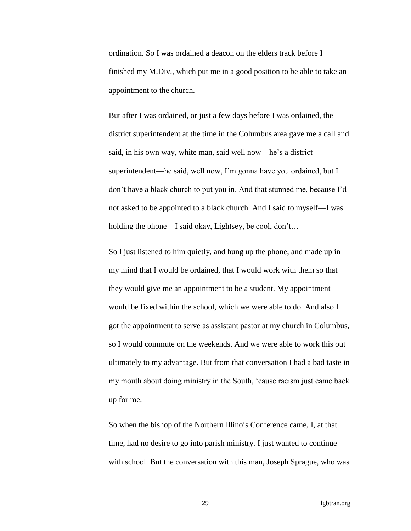ordination. So I was ordained a deacon on the elders track before I finished my M.Div., which put me in a good position to be able to take an appointment to the church.

But after I was ordained, or just a few days before I was ordained, the district superintendent at the time in the Columbus area gave me a call and said, in his own way, white man, said well now—he's a district superintendent—he said, well now, I'm gonna have you ordained, but I don't have a black church to put you in. And that stunned me, because I'd not asked to be appointed to a black church. And I said to myself—I was holding the phone—I said okay, Lightsey, be cool, don't...

So I just listened to him quietly, and hung up the phone, and made up in my mind that I would be ordained, that I would work with them so that they would give me an appointment to be a student. My appointment would be fixed within the school, which we were able to do. And also I got the appointment to serve as assistant pastor at my church in Columbus, so I would commute on the weekends. And we were able to work this out ultimately to my advantage. But from that conversation I had a bad taste in my mouth about doing ministry in the South, 'cause racism just came back up for me.

So when the bishop of the Northern Illinois Conference came, I, at that time, had no desire to go into parish ministry. I just wanted to continue with school. But the conversation with this man, Joseph Sprague, who was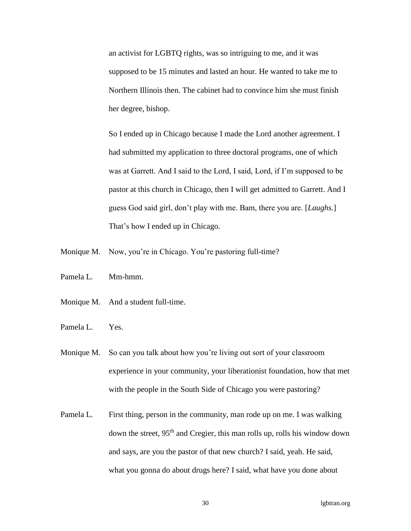an activist for LGBTQ rights, was so intriguing to me, and it was supposed to be 15 minutes and lasted an hour. He wanted to take me to Northern Illinois then. The cabinet had to convince him she must finish her degree, bishop.

So I ended up in Chicago because I made the Lord another agreement. I had submitted my application to three doctoral programs, one of which was at Garrett. And I said to the Lord, I said, Lord, if I'm supposed to be pastor at this church in Chicago, then I will get admitted to Garrett. And I guess God said girl, don't play with me. Bam, there you are. [*Laughs.*] That's how I ended up in Chicago.

- Monique M. Now, you're in Chicago. You're pastoring full-time?
- Pamela L. Mm-hmm.
- Monique M. And a student full-time.
- Pamela L. Yes.
- Monique M. So can you talk about how you're living out sort of your classroom experience in your community, your liberationist foundation, how that met with the people in the South Side of Chicago you were pastoring?
- Pamela L. First thing, person in the community, man rode up on me. I was walking down the street, 95<sup>th</sup> and Cregier, this man rolls up, rolls his window down and says, are you the pastor of that new church? I said, yeah. He said, what you gonna do about drugs here? I said, what have you done about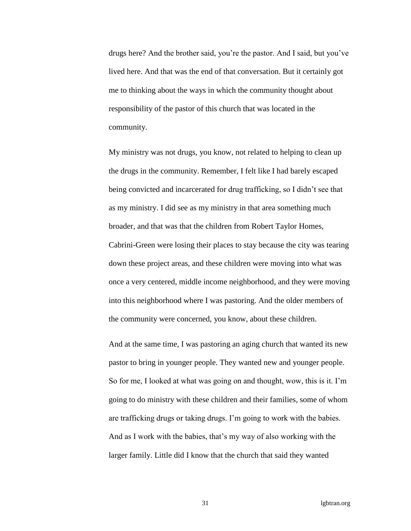drugs here? And the brother said, you're the pastor. And I said, but you've lived here. And that was the end of that conversation. But it certainly got me to thinking about the ways in which the community thought about responsibility of the pastor of this church that was located in the community.

My ministry was not drugs, you know, not related to helping to clean up the drugs in the community. Remember, I felt like I had barely escaped being convicted and incarcerated for drug trafficking, so I didn't see that as my ministry. I did see as my ministry in that area something much broader, and that was that the children from Robert Taylor Homes, Cabrini-Green were losing their places to stay because the city was tearing down these project areas, and these children were moving into what was once a very centered, middle income neighborhood, and they were moving into this neighborhood where I was pastoring. And the older members of the community were concerned, you know, about these children.

And at the same time, I was pastoring an aging church that wanted its new pastor to bring in younger people. They wanted new and younger people. So for me, I looked at what was going on and thought, wow, this is it. I'm going to do ministry with these children and their families, some of whom are trafficking drugs or taking drugs. I'm going to work with the babies. And as I work with the babies, that's my way of also working with the larger family. Little did I know that the church that said they wanted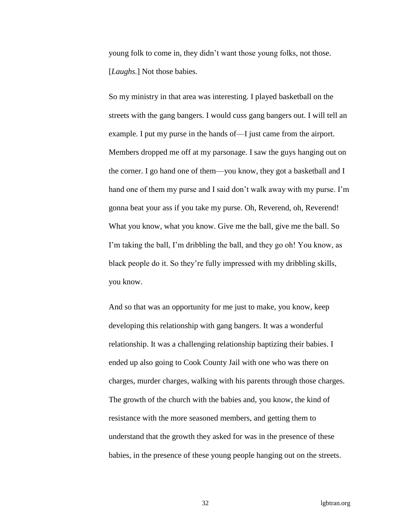young folk to come in, they didn't want those young folks, not those. [*Laughs.*] Not those babies.

So my ministry in that area was interesting. I played basketball on the streets with the gang bangers. I would cuss gang bangers out. I will tell an example. I put my purse in the hands of—I just came from the airport. Members dropped me off at my parsonage. I saw the guys hanging out on the corner. I go hand one of them—you know, they got a basketball and I hand one of them my purse and I said don't walk away with my purse. I'm gonna beat your ass if you take my purse. Oh, Reverend, oh, Reverend! What you know, what you know. Give me the ball, give me the ball. So I'm taking the ball, I'm dribbling the ball, and they go oh! You know, as black people do it. So they're fully impressed with my dribbling skills, you know.

And so that was an opportunity for me just to make, you know, keep developing this relationship with gang bangers. It was a wonderful relationship. It was a challenging relationship baptizing their babies. I ended up also going to Cook County Jail with one who was there on charges, murder charges, walking with his parents through those charges. The growth of the church with the babies and, you know, the kind of resistance with the more seasoned members, and getting them to understand that the growth they asked for was in the presence of these babies, in the presence of these young people hanging out on the streets.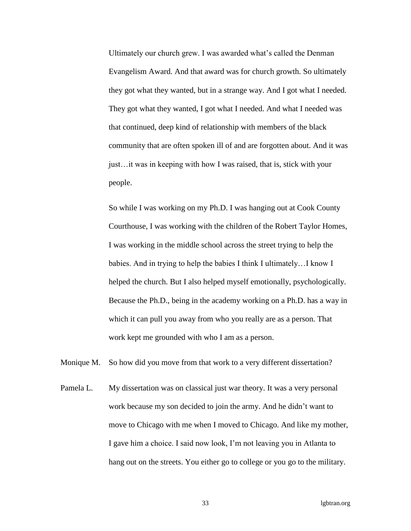Ultimately our church grew. I was awarded what's called the Denman Evangelism Award. And that award was for church growth. So ultimately they got what they wanted, but in a strange way. And I got what I needed. They got what they wanted, I got what I needed. And what I needed was that continued, deep kind of relationship with members of the black community that are often spoken ill of and are forgotten about. And it was just…it was in keeping with how I was raised, that is, stick with your people.

So while I was working on my Ph.D. I was hanging out at Cook County Courthouse, I was working with the children of the Robert Taylor Homes, I was working in the middle school across the street trying to help the babies. And in trying to help the babies I think I ultimately…I know I helped the church. But I also helped myself emotionally, psychologically. Because the Ph.D., being in the academy working on a Ph.D. has a way in which it can pull you away from who you really are as a person. That work kept me grounded with who I am as a person.

Monique M. So how did you move from that work to a very different dissertation?

Pamela L. My dissertation was on classical just war theory. It was a very personal work because my son decided to join the army. And he didn't want to move to Chicago with me when I moved to Chicago. And like my mother, I gave him a choice. I said now look, I'm not leaving you in Atlanta to hang out on the streets. You either go to college or you go to the military.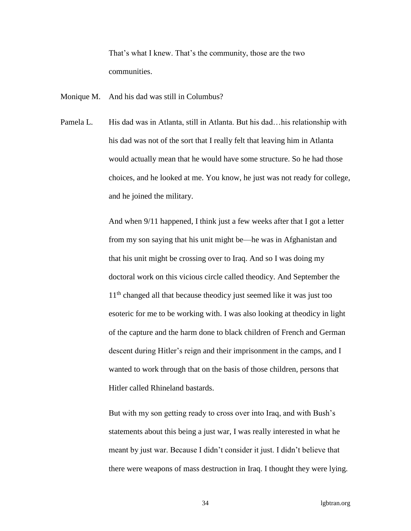That's what I knew. That's the community, those are the two communities.

Monique M. And his dad was still in Columbus?

Pamela L. His dad was in Atlanta, still in Atlanta. But his dad…his relationship with his dad was not of the sort that I really felt that leaving him in Atlanta would actually mean that he would have some structure. So he had those choices, and he looked at me. You know, he just was not ready for college, and he joined the military.

> And when 9/11 happened, I think just a few weeks after that I got a letter from my son saying that his unit might be—he was in Afghanistan and that his unit might be crossing over to Iraq. And so I was doing my doctoral work on this vicious circle called theodicy. And September the 11<sup>th</sup> changed all that because theodicy just seemed like it was just too esoteric for me to be working with. I was also looking at theodicy in light of the capture and the harm done to black children of French and German descent during Hitler's reign and their imprisonment in the camps, and I wanted to work through that on the basis of those children, persons that Hitler called Rhineland bastards.

> But with my son getting ready to cross over into Iraq, and with Bush's statements about this being a just war, I was really interested in what he meant by just war. Because I didn't consider it just. I didn't believe that there were weapons of mass destruction in Iraq. I thought they were lying.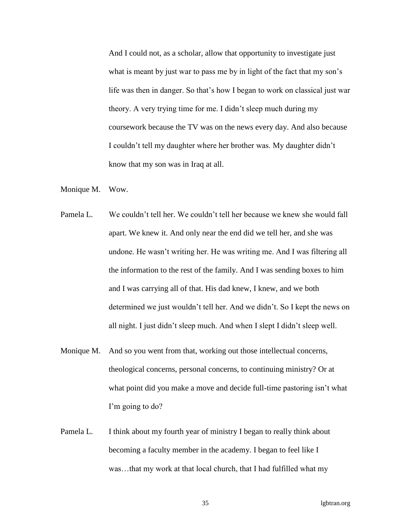And I could not, as a scholar, allow that opportunity to investigate just what is meant by just war to pass me by in light of the fact that my son's life was then in danger. So that's how I began to work on classical just war theory. A very trying time for me. I didn't sleep much during my coursework because the TV was on the news every day. And also because I couldn't tell my daughter where her brother was. My daughter didn't know that my son was in Iraq at all.

- Monique M. Wow.
- Pamela L. We couldn't tell her. We couldn't tell her because we knew she would fall apart. We knew it. And only near the end did we tell her, and she was undone. He wasn't writing her. He was writing me. And I was filtering all the information to the rest of the family. And I was sending boxes to him and I was carrying all of that. His dad knew, I knew, and we both determined we just wouldn't tell her. And we didn't. So I kept the news on all night. I just didn't sleep much. And when I slept I didn't sleep well.
- Monique M. And so you went from that, working out those intellectual concerns, theological concerns, personal concerns, to continuing ministry? Or at what point did you make a move and decide full-time pastoring isn't what I'm going to do?
- Pamela L. I think about my fourth year of ministry I began to really think about becoming a faculty member in the academy. I began to feel like I was…that my work at that local church, that I had fulfilled what my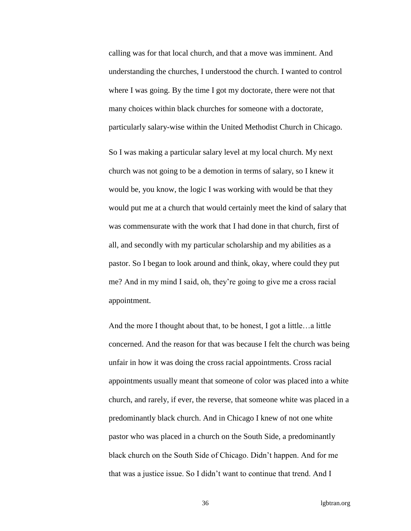calling was for that local church, and that a move was imminent. And understanding the churches, I understood the church. I wanted to control where I was going. By the time I got my doctorate, there were not that many choices within black churches for someone with a doctorate, particularly salary-wise within the United Methodist Church in Chicago.

So I was making a particular salary level at my local church. My next church was not going to be a demotion in terms of salary, so I knew it would be, you know, the logic I was working with would be that they would put me at a church that would certainly meet the kind of salary that was commensurate with the work that I had done in that church, first of all, and secondly with my particular scholarship and my abilities as a pastor. So I began to look around and think, okay, where could they put me? And in my mind I said, oh, they're going to give me a cross racial appointment.

And the more I thought about that, to be honest, I got a little…a little concerned. And the reason for that was because I felt the church was being unfair in how it was doing the cross racial appointments. Cross racial appointments usually meant that someone of color was placed into a white church, and rarely, if ever, the reverse, that someone white was placed in a predominantly black church. And in Chicago I knew of not one white pastor who was placed in a church on the South Side, a predominantly black church on the South Side of Chicago. Didn't happen. And for me that was a justice issue. So I didn't want to continue that trend. And I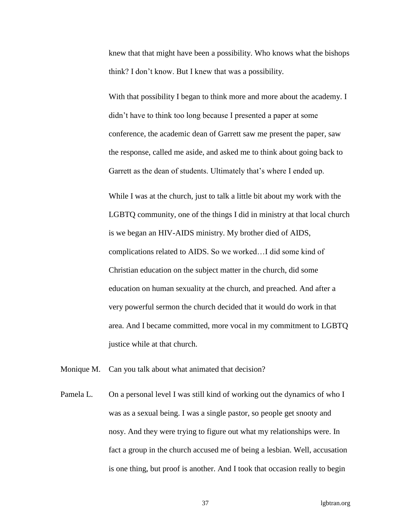knew that that might have been a possibility. Who knows what the bishops think? I don't know. But I knew that was a possibility.

With that possibility I began to think more and more about the academy. I didn't have to think too long because I presented a paper at some conference, the academic dean of Garrett saw me present the paper, saw the response, called me aside, and asked me to think about going back to Garrett as the dean of students. Ultimately that's where I ended up.

While I was at the church, just to talk a little bit about my work with the LGBTQ community, one of the things I did in ministry at that local church is we began an HIV-AIDS ministry. My brother died of AIDS, complications related to AIDS. So we worked…I did some kind of Christian education on the subject matter in the church, did some education on human sexuality at the church, and preached. And after a very powerful sermon the church decided that it would do work in that area. And I became committed, more vocal in my commitment to LGBTQ justice while at that church.

- Monique M. Can you talk about what animated that decision?
- Pamela L. On a personal level I was still kind of working out the dynamics of who I was as a sexual being. I was a single pastor, so people get snooty and nosy. And they were trying to figure out what my relationships were. In fact a group in the church accused me of being a lesbian. Well, accusation is one thing, but proof is another. And I took that occasion really to begin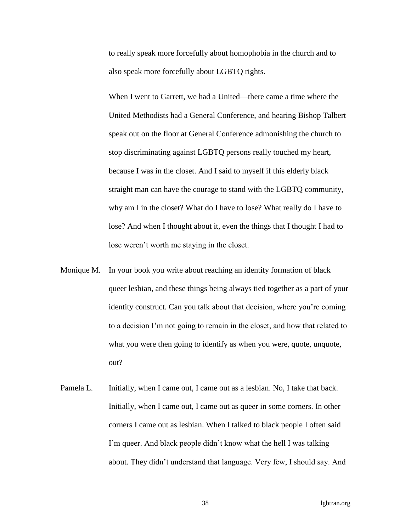to really speak more forcefully about homophobia in the church and to also speak more forcefully about LGBTQ rights.

When I went to Garrett, we had a United—there came a time where the United Methodists had a General Conference, and hearing Bishop Talbert speak out on the floor at General Conference admonishing the church to stop discriminating against LGBTQ persons really touched my heart, because I was in the closet. And I said to myself if this elderly black straight man can have the courage to stand with the LGBTQ community, why am I in the closet? What do I have to lose? What really do I have to lose? And when I thought about it, even the things that I thought I had to lose weren't worth me staying in the closet.

- Monique M. In your book you write about reaching an identity formation of black queer lesbian, and these things being always tied together as a part of your identity construct. Can you talk about that decision, where you're coming to a decision I'm not going to remain in the closet, and how that related to what you were then going to identify as when you were, quote, unquote, out?
- Pamela L. Initially, when I came out, I came out as a lesbian. No, I take that back. Initially, when I came out, I came out as queer in some corners. In other corners I came out as lesbian. When I talked to black people I often said I'm queer. And black people didn't know what the hell I was talking about. They didn't understand that language. Very few, I should say. And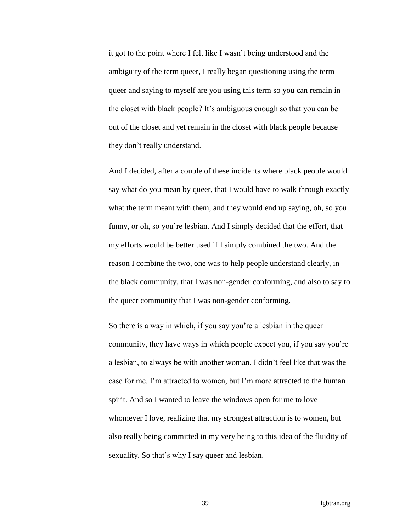it got to the point where I felt like I wasn't being understood and the ambiguity of the term queer, I really began questioning using the term queer and saying to myself are you using this term so you can remain in the closet with black people? It's ambiguous enough so that you can be out of the closet and yet remain in the closet with black people because they don't really understand.

And I decided, after a couple of these incidents where black people would say what do you mean by queer, that I would have to walk through exactly what the term meant with them, and they would end up saying, oh, so you funny, or oh, so you're lesbian. And I simply decided that the effort, that my efforts would be better used if I simply combined the two. And the reason I combine the two, one was to help people understand clearly, in the black community, that I was non-gender conforming, and also to say to the queer community that I was non-gender conforming.

So there is a way in which, if you say you're a lesbian in the queer community, they have ways in which people expect you, if you say you're a lesbian, to always be with another woman. I didn't feel like that was the case for me. I'm attracted to women, but I'm more attracted to the human spirit. And so I wanted to leave the windows open for me to love whomever I love, realizing that my strongest attraction is to women, but also really being committed in my very being to this idea of the fluidity of sexuality. So that's why I say queer and lesbian.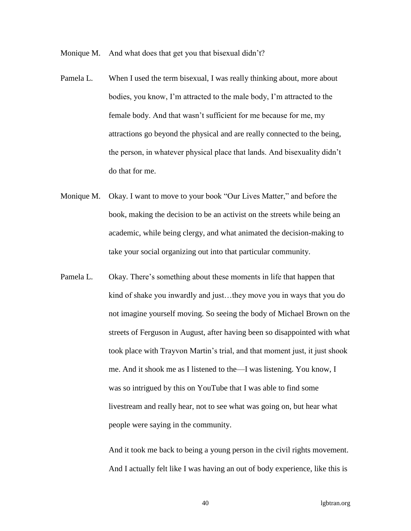Monique M. And what does that get you that bisexual didn't?

- Pamela L. When I used the term bisexual, I was really thinking about, more about bodies, you know, I'm attracted to the male body, I'm attracted to the female body. And that wasn't sufficient for me because for me, my attractions go beyond the physical and are really connected to the being, the person, in whatever physical place that lands. And bisexuality didn't do that for me.
- Monique M. Okay. I want to move to your book "Our Lives Matter," and before the book, making the decision to be an activist on the streets while being an academic, while being clergy, and what animated the decision-making to take your social organizing out into that particular community.
- Pamela L. Okay. There's something about these moments in life that happen that kind of shake you inwardly and just…they move you in ways that you do not imagine yourself moving. So seeing the body of Michael Brown on the streets of Ferguson in August, after having been so disappointed with what took place with Trayvon Martin's trial, and that moment just, it just shook me. And it shook me as I listened to the—I was listening. You know, I was so intrigued by this on YouTube that I was able to find some livestream and really hear, not to see what was going on, but hear what people were saying in the community.

And it took me back to being a young person in the civil rights movement. And I actually felt like I was having an out of body experience, like this is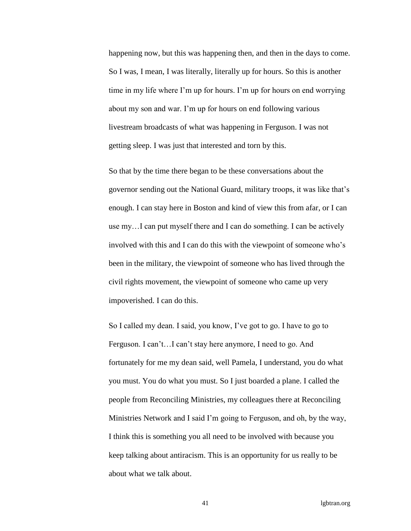happening now, but this was happening then, and then in the days to come. So I was, I mean, I was literally, literally up for hours. So this is another time in my life where I'm up for hours. I'm up for hours on end worrying about my son and war. I'm up for hours on end following various livestream broadcasts of what was happening in Ferguson. I was not getting sleep. I was just that interested and torn by this.

So that by the time there began to be these conversations about the governor sending out the National Guard, military troops, it was like that's enough. I can stay here in Boston and kind of view this from afar, or I can use my…I can put myself there and I can do something. I can be actively involved with this and I can do this with the viewpoint of someone who's been in the military, the viewpoint of someone who has lived through the civil rights movement, the viewpoint of someone who came up very impoverished. I can do this.

So I called my dean. I said, you know, I've got to go. I have to go to Ferguson. I can't…I can't stay here anymore, I need to go. And fortunately for me my dean said, well Pamela, I understand, you do what you must. You do what you must. So I just boarded a plane. I called the people from Reconciling Ministries, my colleagues there at Reconciling Ministries Network and I said I'm going to Ferguson, and oh, by the way, I think this is something you all need to be involved with because you keep talking about antiracism. This is an opportunity for us really to be about what we talk about.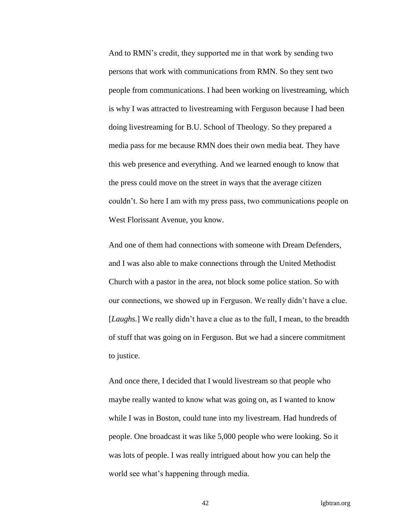And to RMN's credit, they supported me in that work by sending two persons that work with communications from RMN. So they sent two people from communications. I had been working on livestreaming, which is why I was attracted to livestreaming with Ferguson because I had been doing livestreaming for B.U. School of Theology. So they prepared a media pass for me because RMN does their own media beat. They have this web presence and everything. And we learned enough to know that the press could move on the street in ways that the average citizen couldn't. So here I am with my press pass, two communications people on West Florissant Avenue, you know.

And one of them had connections with someone with Dream Defenders, and I was also able to make connections through the United Methodist Church with a pastor in the area, not block some police station. So with our connections, we showed up in Ferguson. We really didn't have a clue. [*Laughs.*] We really didn't have a clue as to the full, I mean, to the breadth of stuff that was going on in Ferguson. But we had a sincere commitment to justice.

And once there, I decided that I would livestream so that people who maybe really wanted to know what was going on, as I wanted to know while I was in Boston, could tune into my livestream. Had hundreds of people. One broadcast it was like 5,000 people who were looking. So it was lots of people. I was really intrigued about how you can help the world see what's happening through media.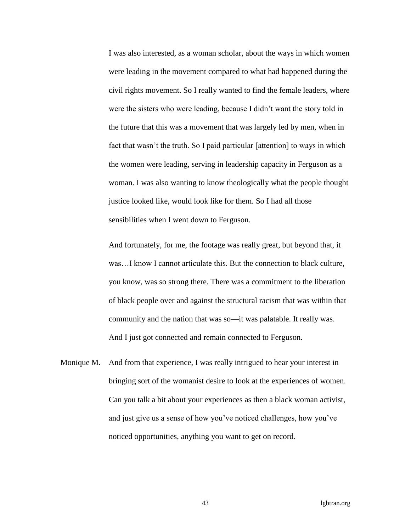I was also interested, as a woman scholar, about the ways in which women were leading in the movement compared to what had happened during the civil rights movement. So I really wanted to find the female leaders, where were the sisters who were leading, because I didn't want the story told in the future that this was a movement that was largely led by men, when in fact that wasn't the truth. So I paid particular [attention] to ways in which the women were leading, serving in leadership capacity in Ferguson as a woman. I was also wanting to know theologically what the people thought justice looked like, would look like for them. So I had all those sensibilities when I went down to Ferguson.

And fortunately, for me, the footage was really great, but beyond that, it was…I know I cannot articulate this. But the connection to black culture, you know, was so strong there. There was a commitment to the liberation of black people over and against the structural racism that was within that community and the nation that was so—it was palatable. It really was. And I just got connected and remain connected to Ferguson.

Monique M. And from that experience, I was really intrigued to hear your interest in bringing sort of the womanist desire to look at the experiences of women. Can you talk a bit about your experiences as then a black woman activist, and just give us a sense of how you've noticed challenges, how you've noticed opportunities, anything you want to get on record.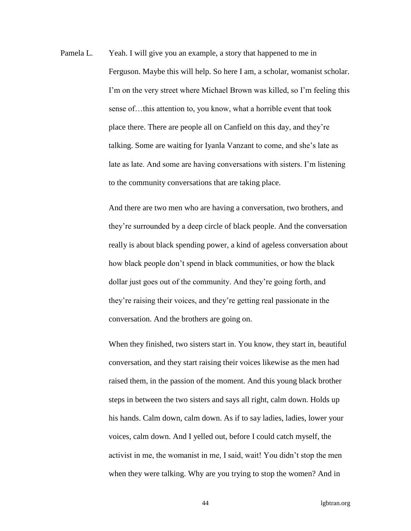Pamela L. Yeah. I will give you an example, a story that happened to me in Ferguson. Maybe this will help. So here I am, a scholar, womanist scholar. I'm on the very street where Michael Brown was killed, so I'm feeling this sense of…this attention to, you know, what a horrible event that took place there. There are people all on Canfield on this day, and they're talking. Some are waiting for Iyanla Vanzant to come, and she's late as late as late. And some are having conversations with sisters. I'm listening to the community conversations that are taking place.

> And there are two men who are having a conversation, two brothers, and they're surrounded by a deep circle of black people. And the conversation really is about black spending power, a kind of ageless conversation about how black people don't spend in black communities, or how the black dollar just goes out of the community. And they're going forth, and they're raising their voices, and they're getting real passionate in the conversation. And the brothers are going on.

> When they finished, two sisters start in. You know, they start in, beautiful conversation, and they start raising their voices likewise as the men had raised them, in the passion of the moment. And this young black brother steps in between the two sisters and says all right, calm down. Holds up his hands. Calm down, calm down. As if to say ladies, ladies, lower your voices, calm down. And I yelled out, before I could catch myself, the activist in me, the womanist in me, I said, wait! You didn't stop the men when they were talking. Why are you trying to stop the women? And in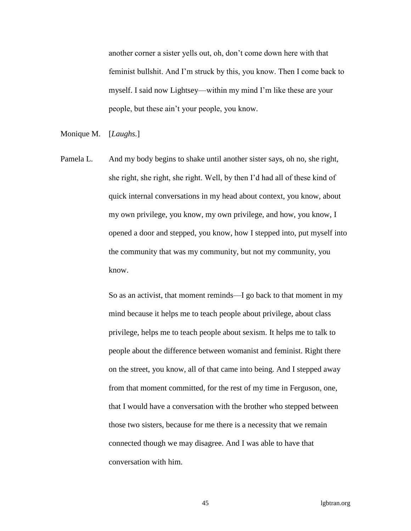another corner a sister yells out, oh, don't come down here with that feminist bullshit. And I'm struck by this, you know. Then I come back to myself. I said now Lightsey—within my mind I'm like these are your people, but these ain't your people, you know.

Monique M. [*Laughs.*]

Pamela L. And my body begins to shake until another sister says, oh no, she right, she right, she right, she right. Well, by then I'd had all of these kind of quick internal conversations in my head about context, you know, about my own privilege, you know, my own privilege, and how, you know, I opened a door and stepped, you know, how I stepped into, put myself into the community that was my community, but not my community, you know.

> So as an activist, that moment reminds—I go back to that moment in my mind because it helps me to teach people about privilege, about class privilege, helps me to teach people about sexism. It helps me to talk to people about the difference between womanist and feminist. Right there on the street, you know, all of that came into being. And I stepped away from that moment committed, for the rest of my time in Ferguson, one, that I would have a conversation with the brother who stepped between those two sisters, because for me there is a necessity that we remain connected though we may disagree. And I was able to have that conversation with him.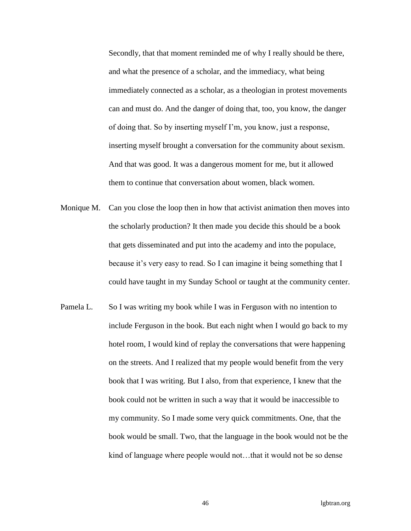Secondly, that that moment reminded me of why I really should be there, and what the presence of a scholar, and the immediacy, what being immediately connected as a scholar, as a theologian in protest movements can and must do. And the danger of doing that, too, you know, the danger of doing that. So by inserting myself I'm, you know, just a response, inserting myself brought a conversation for the community about sexism. And that was good. It was a dangerous moment for me, but it allowed them to continue that conversation about women, black women.

- Monique M. Can you close the loop then in how that activist animation then moves into the scholarly production? It then made you decide this should be a book that gets disseminated and put into the academy and into the populace, because it's very easy to read. So I can imagine it being something that I could have taught in my Sunday School or taught at the community center.
- Pamela L. So I was writing my book while I was in Ferguson with no intention to include Ferguson in the book. But each night when I would go back to my hotel room, I would kind of replay the conversations that were happening on the streets. And I realized that my people would benefit from the very book that I was writing. But I also, from that experience, I knew that the book could not be written in such a way that it would be inaccessible to my community. So I made some very quick commitments. One, that the book would be small. Two, that the language in the book would not be the kind of language where people would not…that it would not be so dense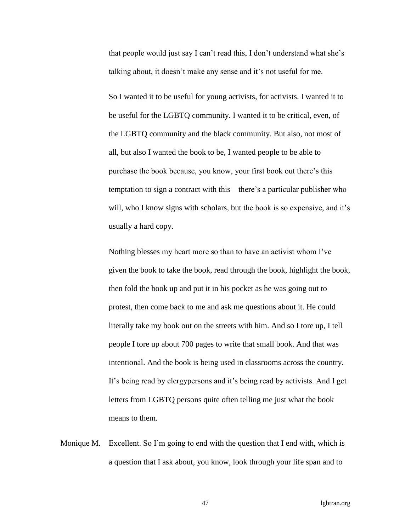that people would just say I can't read this, I don't understand what she's talking about, it doesn't make any sense and it's not useful for me.

So I wanted it to be useful for young activists, for activists. I wanted it to be useful for the LGBTQ community. I wanted it to be critical, even, of the LGBTQ community and the black community. But also, not most of all, but also I wanted the book to be, I wanted people to be able to purchase the book because, you know, your first book out there's this temptation to sign a contract with this—there's a particular publisher who will, who I know signs with scholars, but the book is so expensive, and it's usually a hard copy.

Nothing blesses my heart more so than to have an activist whom I've given the book to take the book, read through the book, highlight the book, then fold the book up and put it in his pocket as he was going out to protest, then come back to me and ask me questions about it. He could literally take my book out on the streets with him. And so I tore up, I tell people I tore up about 700 pages to write that small book. And that was intentional. And the book is being used in classrooms across the country. It's being read by clergypersons and it's being read by activists. And I get letters from LGBTQ persons quite often telling me just what the book means to them.

Monique M. Excellent. So I'm going to end with the question that I end with, which is a question that I ask about, you know, look through your life span and to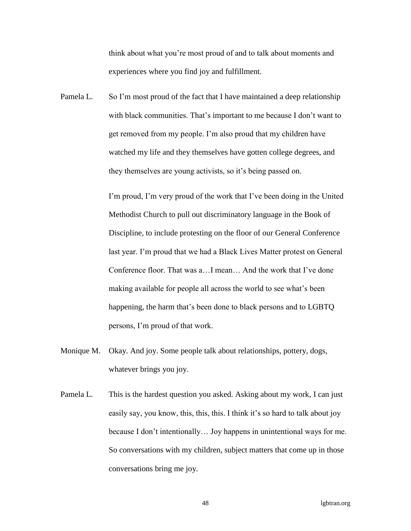think about what you're most proud of and to talk about moments and experiences where you find joy and fulfillment.

Pamela L. So I'm most proud of the fact that I have maintained a deep relationship with black communities. That's important to me because I don't want to get removed from my people. I'm also proud that my children have watched my life and they themselves have gotten college degrees, and they themselves are young activists, so it's being passed on.

> I'm proud, I'm very proud of the work that I've been doing in the United Methodist Church to pull out discriminatory language in the Book of Discipline, to include protesting on the floor of our General Conference last year. I'm proud that we had a Black Lives Matter protest on General Conference floor. That was a…I mean… And the work that I've done making available for people all across the world to see what's been happening, the harm that's been done to black persons and to LGBTQ persons, I'm proud of that work.

- Monique M. Okay. And joy. Some people talk about relationships, pottery, dogs, whatever brings you joy.
- Pamela L. This is the hardest question you asked. Asking about my work, I can just easily say, you know, this, this, this. I think it's so hard to talk about joy because I don't intentionally… Joy happens in unintentional ways for me. So conversations with my children, subject matters that come up in those conversations bring me joy.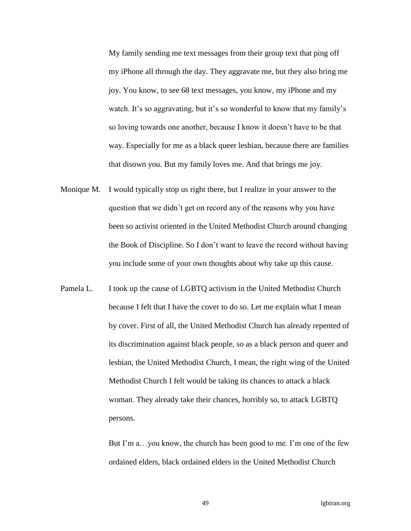My family sending me text messages from their group text that ping off my iPhone all through the day. They aggravate me, but they also bring me joy. You know, to see 68 text messages, you know, my iPhone and my watch. It's so aggravating, but it's so wonderful to know that my family's so loving towards one another, because I know it doesn't have to be that way. Especially for me as a black queer lesbian, because there are families that disown you. But my family loves me. And that brings me joy.

- Monique M. I would typically stop us right there, but I realize in your answer to the question that we didn't get on record any of the reasons why you have been so activist oriented in the United Methodist Church around changing the Book of Discipline. So I don't want to leave the record without having you include some of your own thoughts about why take up this cause.
- Pamela L. I took up the cause of LGBTQ activism in the United Methodist Church because I felt that I have the cover to do so. Let me explain what I mean by cover. First of all, the United Methodist Church has already repented of its discrimination against black people, so as a black person and queer and lesbian, the United Methodist Church, I mean, the right wing of the United Methodist Church I felt would be taking its chances to attack a black woman. They already take their chances, horribly so, to attack LGBTQ persons.

But I'm a…you know, the church has been good to me. I'm one of the few ordained elders, black ordained elders in the United Methodist Church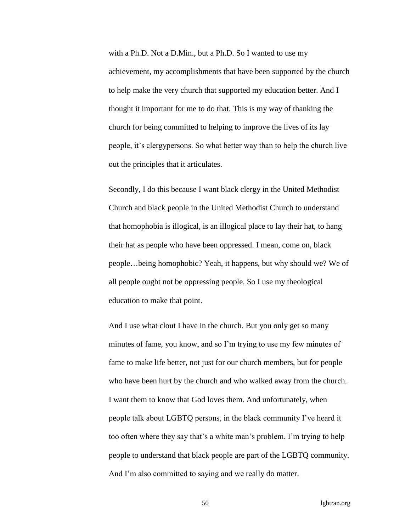with a Ph.D. Not a D.Min., but a Ph.D. So I wanted to use my achievement, my accomplishments that have been supported by the church to help make the very church that supported my education better. And I thought it important for me to do that. This is my way of thanking the church for being committed to helping to improve the lives of its lay people, it's clergypersons. So what better way than to help the church live out the principles that it articulates.

Secondly, I do this because I want black clergy in the United Methodist Church and black people in the United Methodist Church to understand that homophobia is illogical, is an illogical place to lay their hat, to hang their hat as people who have been oppressed. I mean, come on, black people…being homophobic? Yeah, it happens, but why should we? We of all people ought not be oppressing people. So I use my theological education to make that point.

And I use what clout I have in the church. But you only get so many minutes of fame, you know, and so I'm trying to use my few minutes of fame to make life better, not just for our church members, but for people who have been hurt by the church and who walked away from the church. I want them to know that God loves them. And unfortunately, when people talk about LGBTQ persons, in the black community I've heard it too often where they say that's a white man's problem. I'm trying to help people to understand that black people are part of the LGBTQ community. And I'm also committed to saying and we really do matter.